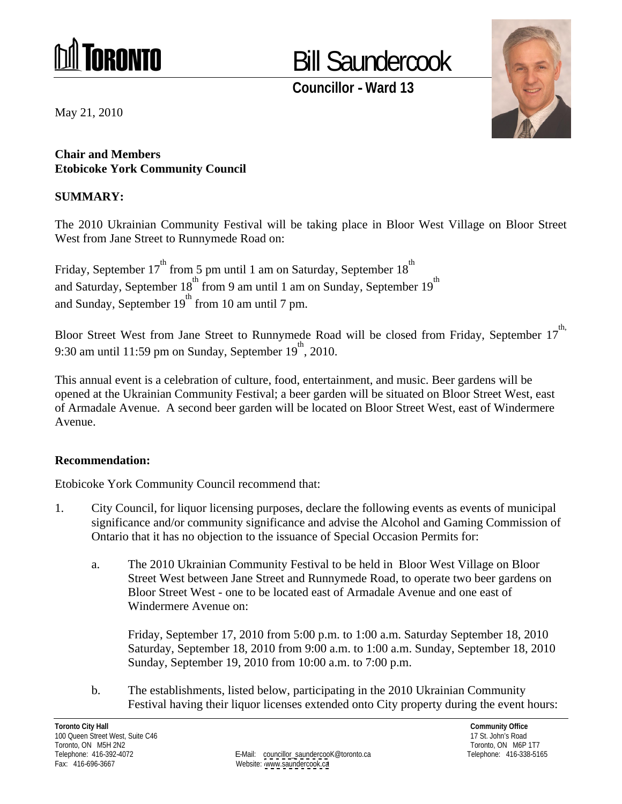

## Bill Saundercook

**Councillor - Ward 13**



**Chair and Members Etobicoke York Community Council**

## **SUMMARY:**

The 2010 Ukrainian Community Festival will be taking place in Bloor West Village on Bloor Street West from Jane Street to Runnymede Road on:

Friday, September 17<sup>th</sup> from 5 pm until 1 am on Saturday, September 18<sup>th</sup> the contract of the contract of the contract of the contract of the contract of the contract of the contract of the contract of the contract of the contract of the contract of the contract of the contract of the contract o and Saturday, September  $18^{th}$  from 9 am until 1 am on Sunday, September  $19^{th}$ the contract of the contract of the contract of the contract of the contract of the contract of the contract of the contract of the contract of the contract of the contract of the contract of the contract of the contract o and Sunday, September  $19<sup>th</sup>$  from 10 am until 7 pm.

Bloor Street West from Jane Street to Runnymede Road will be closed from Friday, September 17<sup>-11</sup> th, 9:30 am until 11:59 pm on Sunday, September 19<sup>th</sup>, 2010. , 2010.

May 21, 2010<br>
That and Members:<br>
Charles More Merk Community Connell<br>
EROMORA RY:<br>
The 2010 Ukrainian Community Connell<br>
EUMAARY:<br>
The 2010 Ukrainian Community Festival will be uking pluce in Bloor West Village on Bloor S This annual event is a celebration of culture, food, entertainment, and music. Beer gardens will be opened at the Ukrainian Community Festival; a beer garden will be situated on Bloor Street West, east of Armadale Avenue. A second beer garden will be located on Bloor Street West, east of Windermere Avenue.

## **Recommendation:**

Etobicoke York Community Council recommend that:

- 1. City Council, for liquor licensing purposes, declare the following events as events of municipal significance and/or community significance and advise the Alcohol and Gaming Commission of Ontario that it has no objection to the issuance of Special Occasion Permits for:
	- a. The 2010 Ukrainian Community Festival to be held in Bloor West Village on Bloor Street West between Jane Street and Runnymede Road, to operate two beer gardens on Bloor Street West - one to be located east of Armadale Avenue and one east of Windermere Avenue on:

Friday, September 17, 2010 from 5:00 p.m. to 1:00 a.m. Saturday September 18, 2010 Saturday, September 18, 2010 from 9:00 a.m. to 1:00 a.m. Sunday, September 18, 2010 Sunday, September 19, 2010 from 10:00 a.m. to 7:00 p.m.

b. The establishments, listed below, participating in the 2010 Ukrainian Community Festival having their liquor licenses extended onto City property during the event hours: